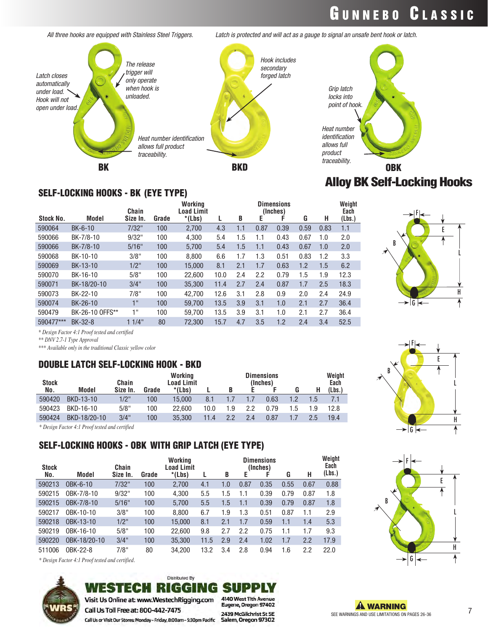## GUNNEBO CLASSIC



*All three hooks are equipped with Stainless Steel Triggers. Latch is protected and will act as a gauge to signal an unsafe bent hook or latch.*

### Alloy BK Self-Locking Hooks



#### SELF-LOCKING HOOKS - BK (EYE TYPE)

|                 | Chain    |       | Working<br><b>Load Limit</b> |      |     |      |      |                               |      | Weight<br>Each |
|-----------------|----------|-------|------------------------------|------|-----|------|------|-------------------------------|------|----------------|
| Model           | Size In. | Grade | $*(Lbs)$                     |      | B   | Е    |      | G                             | н    | (Lbs.)         |
| $BK-6-10$       | 7/32"    | 100   | 2,700                        | 4.3  | 1.1 | 0.87 | 0.39 | 0.59                          | 0.83 | 1.1            |
| BK-7/8-10       | 9/32"    | 100   | 4.300                        | 5.4  | 1.5 | 1.1  | 0.43 | 0.67                          | 1.0  | 2.0            |
| BK-7/8-10       | 5/16"    | 100   | 5,700                        | 5.4  | 1.5 | 1.1  | 0.43 | 0.67                          | 1.0  | 2.0            |
| BK-10-10        | 3/8"     | 100   | 8.800                        | 6.6  | 1.7 | 1.3  | 0.51 | 0.83                          | 1.2  | 3.3            |
| BK-13-10        | $1/2$ "  | 100   | 15,000                       | 8.1  | 2.1 | 1.7  | 0.63 | 1.2                           | 1.5  | 6.2            |
| BK-16-10        | 5/8"     | 100   | 22.600                       | 10.0 | 2.4 | 2.2  | 0.79 | 1.5                           | 1.9  | 12.3           |
| BK-18/20-10     | 3/4"     | 100   | 35,300                       | 11.4 | 2.7 | 2.4  | 0.87 | 1.7                           | 2.5  | 18.3           |
| BK-22-10        | 7/8"     | 100   | 42.700                       | 12.6 | 3.1 | 2.8  | 0.9  | 2.0                           | 2.4  | 24.9           |
| BK-26-10        | 11       | 100   | 59,700                       | 13.5 | 3.9 | 3.1  | 1.0  | 2.1                           | 2.7  | 36.4           |
| BK-26-10 OFFS** | 1"       | 100   | 59.700                       | 13.5 | 3.9 | 3.1  | 1.0  | 2.1                           | 2.7  | 36.4           |
| BK-32-8         | $1/4$ "  | 80    | 72.300                       | 15.7 | 4.7 | 3.5  | 1.2  | 2.4                           | 3.4  | 52.5           |
|                 |          |       |                              |      |     |      |      | <b>Dimensions</b><br>(Inches) |      |                |

*\* Design Factor 4:1 Proof tested and certified*

*\*\* DNV 2.7-1 Type Approval*

*\*\*\* Available only in the traditional Classic yellow color*

#### DOUBLE LATCH SELF-LOCKING HOOK - BKD

| <b>Stock</b><br>No. | Model        | Chain<br>Size In. | Grade | Working<br>Load Limit<br>*(Lbs) |      |     |     | <b>Dimensions</b><br>(Inches) |     | Н   | Weight<br>Each<br>(Lbs.) |
|---------------------|--------------|-------------------|-------|---------------------------------|------|-----|-----|-------------------------------|-----|-----|--------------------------|
| 590420              | BKD-13-10    | $1/2$ "           | 100   | 15,000                          | 8.1  |     |     | 0.63                          |     | 1.5 |                          |
| 590423              | BKD-16-10    | 5/8"              | 100   | 22,600                          | 10.0 | 1.9 | 2.2 | 0.79                          | 1.5 | 1.9 | 12.8                     |
| 590424              | BKD-18/20-10 | 3/4"              | 100   | 35,300                          | 11.4 | 22  | 2.4 | 0.87                          |     | 25  | 19.4                     |
|                     |              |                   |       |                                 |      |     |     |                               |     |     |                          |

*\* Design Factor 4:1 Proof tested and certified*

### SELF-LOCKING HOOKS - OBK WITH GRIP LATCH (EYE TYPE)

| <b>Stock</b> |              | Chain    | Working<br><b>Dimensions</b><br>Load Limit<br>(Inches) |        |      |     |      |      |      |      | Weight<br>Each |
|--------------|--------------|----------|--------------------------------------------------------|--------|------|-----|------|------|------|------|----------------|
| No.          | Model        | Size In. | Grade                                                  | *(Lbs) |      | B   | E    |      | G    | н    | (Lbs.)         |
| 590213       | OBK-6-10     | 7/32"    | 100                                                    | 2,700  | 4.1  | 1.0 | 0.87 | 0.35 | 0.55 | 0.67 | 0.88           |
| 590215       | OBK-7/8-10   | 9/32"    | 100                                                    | 4,300  | 5.5  | 1.5 |      | 0.39 | 0.79 | 0.87 | 1.8            |
| 590215       | OBK-7/8-10   | 5/16"    | 100                                                    | 5,700  | 5.5  | 1.5 | 1.1  | 0.39 | 0.79 | 0.87 | 1.8            |
| 590217       | OBK-10-10    | 3/8"     | 100                                                    | 8.800  | 6.7  | 1.9 | 1.3  | 0.51 | 0.87 | 1.1  | 2.9            |
| 590218       | OBK-13-10    | $1/2$ "  | 100                                                    | 15.000 | 8.1  | 2.1 | 1.7  | 0.59 | 1.1  | 1.4  | 5.3            |
| 590219       | OBK-16-10    | 5/8"     | 100                                                    | 22,600 | 9.8  | 2.7 | 2.2  | 0.75 | 1.1  | 1.7  | 9.3            |
| 590220       | OBK-18/20-10 | 3/4"     | 100                                                    | 35.300 | 11.5 | 2.9 | 2.4  | 1.02 | 1.7  | 2.2  | 17.9           |
| 511006       | OBK-22-8     | 7/8"     | 80                                                     | 34.200 | 13.2 | 3.4 | 2.8  | 0.94 | 1.6  | 2.2  | 22.0           |

*\* Design Factor 4:1 Proof tested and certified.*



#### **Distributed By WESTECH RIGGING SUPP** Visit Us Online at: www.WestechRigging.com

Call Us Toll Free at: 800-442-7475 Call Us or Visit Our Stores: Monday - Friday, 8:00am - 5:30pm Pacific 4140 West 11th Avenue Eugene, Oregon 97402

2439 McGilchrist St SE Salem, Oregon 97302





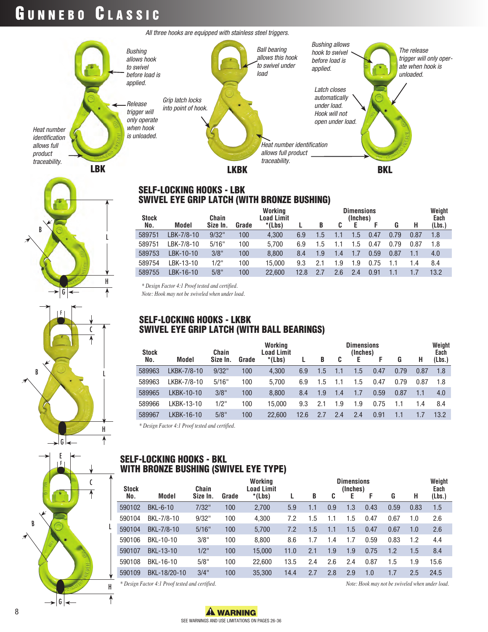## GUNNEBO CLASSIC

L

L

H

↟

C

H

 $\overline{\mathcal{L}}$ 

L

H

 $\uparrow$ 

 $\mathfrak{c}$ 

ᡯ

G

F

G

◢

E F

G

B

B



#### SELF-LOCKING HOOKS - LBK SWIVEL EYE GRIP LATCH (WITH BRONZE BUSHING)

| <b>Stock</b> |            | Chain    |       | Working<br><b>Dimensions</b><br>Load Limit<br>(Inches) |      |               |     |     |      |                  | Weight<br>Each |        |
|--------------|------------|----------|-------|--------------------------------------------------------|------|---------------|-----|-----|------|------------------|----------------|--------|
| No.          | Model      | Size In. | Grade | *(Lbs)                                                 |      | B             | C   |     |      | G                | н              | (Lbs.) |
| 589751       | LBK-7/8-10 | 9/32"    | 100   | 4.300                                                  | 6.9  | $1.5^{\circ}$ |     | 1.5 | 0.47 | 0.79             | 0.87           | 1.8    |
| 589751       | LBK-7/8-10 | 5/16"    | 100   | 5.700                                                  | 6.9  | 1.5           |     | 1.5 | 0.47 | 79<br>$\Omega$ . | 0.87           | 1.8    |
| 589753       | LBK-10-10  | 3/8"     | 100   | 8.800                                                  | 8.4  | 1.9           | 1.4 |     | 0.59 | 0.87             |                | 4.0    |
| 589754       | LBK-13-10  | 1/2"     | 100   | 15.000                                                 | 9.3  | 2.1           | 1.9 | 1.9 | 0.75 |                  | 1.4            | 8.4    |
| 589755       | LBK-16-10  | 5/8"     | 100   | 22.600                                                 | 12.8 |               | 2.6 | 2.4 | 0.91 |                  |                | 13.2   |

*\* Design Factor 4:1 Proof tested and certified.*

*Note: Hook may not be swiveled when under load.*

#### SELF-LOCKING HOOKS - LKBK SWIVEL EYE GRIP LATCH (WITH BALL BEARINGS)

| <b>Stock</b> |             | Chain    |       | Working<br><b>Load Limit</b> |      | <b>Dimensions</b><br>(Inches) |     |     |      |      |      | Weight<br>Each |
|--------------|-------------|----------|-------|------------------------------|------|-------------------------------|-----|-----|------|------|------|----------------|
| No.          | Model       | Size In. | Grade | $*(Lbs)$                     |      | B                             | C   |     | F    | G    | н    | (Lbs.)         |
| 589963       | LKBK-7/8-10 | 9/32"    | 100   | 4.300                        | 6.9  | $1.5^{\circ}$                 | 1.1 | 1.5 | 0.47 | 0.79 | 0.87 | 1.8            |
| 589963       | LKBK-7/8-10 | 5/16"    | 100   | 5.700                        | 6.9  | 1.5                           | 1.1 | 1.5 | 0.47 | 0.79 | 0.87 | 1.8            |
| 589965       | LKBK-10-10  | 3/8"     | 100   | 8.800                        | 8.4  | 1.9                           | 1.4 |     | 0.59 | 0.87 |      | 4.0            |
| 589966       | LKBK-13-10  | $1/2$ "  | 100   | 15.000                       | 9.3  | 2.1                           | 1.9 | 1.9 | 0.75 | 1.1  | 1.4  | 8.4            |
| 589967       | LKBK-16-10  | 5/8"     | 100   | 22.600                       | 12.6 | 2.7                           | 2.4 | 2.4 | 0.91 | 1.1  |      | 13.2           |

*\* Design Factor 4:1 Proof tested and certified.*

#### SELF-LOCKING HOOKS - BKL WITH BRONZE BUSHING (SWIVEL EYE TYPE)

| <b>Stock</b> |              | Chain    |       | Working<br>Load Limit |      | <b>Dimensions</b><br>(Inches) |     |     |      |      |      | Weight<br>Each |
|--------------|--------------|----------|-------|-----------------------|------|-------------------------------|-----|-----|------|------|------|----------------|
| No.          | Model        | Size In. | Grade | $*(Lbs)$              |      | B                             | C   | Е   | F    | G    | н    | (Lbs.)         |
| 590102       | BKL-6-10     | 7/32"    | 100   | 2,700                 | 5.9  |                               | 0.9 | 1.3 | 0.43 | 0.59 | 0.83 | 1.5            |
| 590104       | BKL-7/8-10   | 9/32"    | 100   | 4,300                 | 7.2  | 1.5                           | 1.1 | 1.5 | 0.47 | 0.67 | 1.0  | 2.6            |
| 590104       | BKL-7/8-10   | 5/16"    | 100   | 5.700                 | 7.2  | 1.5                           | 1.1 | 1.5 | 0.47 | 0.67 | 1.0  | 2.6            |
| 590106       | BKL-10-10    | 3/8"     | 100   | 8,800                 | 8.6  |                               | 1.4 | 1.7 | 0.59 | 0.83 | 1.2  | 4.4            |
| 590107       | BKL-13-10    | $1/2$ "  | 100   | 15,000                | 11.0 | 2.1                           | 1.9 | 1.9 | 0.75 | 1.2  | 1.5  | 8.4            |
| 590108       | BKL-16-10    | 5/8"     | 100   | 22.600                | 13.5 | 2.4                           | 2.6 | 2.4 | 0.87 | 1.5  | 1.9  | 15.6           |
| 590109       | BKL-18/20-10 | 3/4"     | 100   | 35,300                | 14.4 | 2.7                           | 2.8 | 2.9 | 1.0  | 1.7  | 2.5  | 24.5           |

*\* Design Factor 4:1 Proof tested and certified. Note: Hook may not be swiveled when under load.*

B